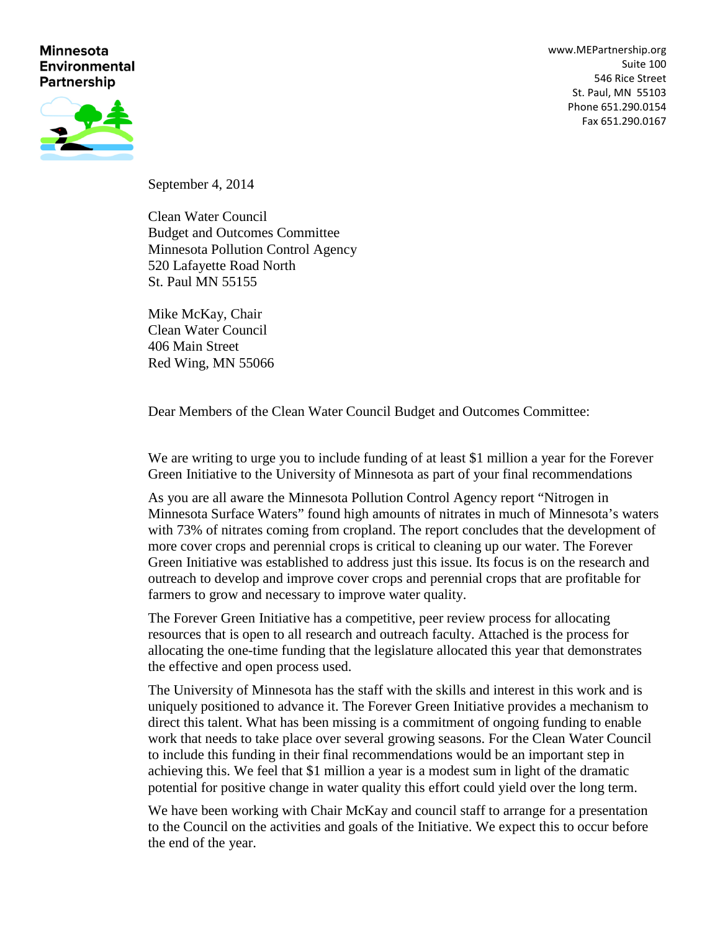#### **Minnesota Environmental Partnership**

[www.MEPartnership.org](http://www.mepartnership.org/) Suite 100 546 Rice Street St. Paul, MN 55103 Phone 651.290.0154 Fax 651.290.0167



September 4, 2014

Clean Water Council Budget and Outcomes Committee Minnesota Pollution Control Agency 520 Lafayette Road North St. Paul MN 55155

Mike McKay, Chair Clean Water Council 406 Main Street Red Wing, MN 55066

Dear Members of the Clean Water Council Budget and Outcomes Committee:

We are writing to urge you to include funding of at least \$1 million a year for the Forever Green Initiative to the University of Minnesota as part of your final recommendations

As you are all aware the Minnesota Pollution Control Agency report "Nitrogen in Minnesota Surface Waters" found high amounts of nitrates in much of Minnesota's waters with 73% of nitrates coming from cropland. The report concludes that the development of more cover crops and perennial crops is critical to cleaning up our water. The Forever Green Initiative was established to address just this issue. Its focus is on the research and outreach to develop and improve cover crops and perennial crops that are profitable for farmers to grow and necessary to improve water quality.

The Forever Green Initiative has a competitive, peer review process for allocating resources that is open to all research and outreach faculty. Attached is the process for allocating the one-time funding that the legislature allocated this year that demonstrates the effective and open process used.

The University of Minnesota has the staff with the skills and interest in this work and is uniquely positioned to advance it. The Forever Green Initiative provides a mechanism to direct this talent. What has been missing is a commitment of ongoing funding to enable work that needs to take place over several growing seasons. For the Clean Water Council to include this funding in their final recommendations would be an important step in achieving this. We feel that \$1 million a year is a modest sum in light of the dramatic potential for positive change in water quality this effort could yield over the long term.

We have been working with Chair McKay and council staff to arrange for a presentation to the Council on the activities and goals of the Initiative. We expect this to occur before the end of the year.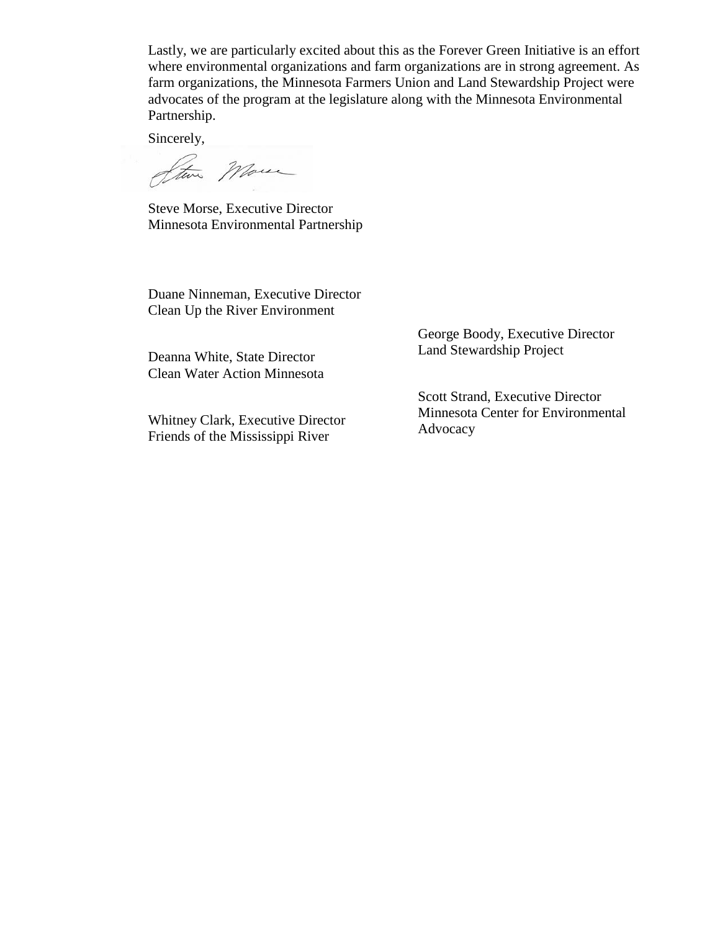Lastly, we are particularly excited about this as the Forever Green Initiative is an effort where environmental organizations and farm organizations are in strong agreement. As farm organizations, the Minnesota Farmers Union and Land Stewardship Project were advocates of the program at the legislature along with the Minnesota Environmental Partnership.

Sincerely,

Steve More

Steve Morse, Executive Director Minnesota Environmental Partnership

Duane Ninneman, Executive Director Clean Up the River Environment

Deanna White, State Director Clean Water Action Minnesota

Whitney Clark, Executive Director Friends of the Mississippi River

George Boody, Executive Director Land Stewardship Project

Scott Strand, Executive Director Minnesota Center for Environmental Advocacy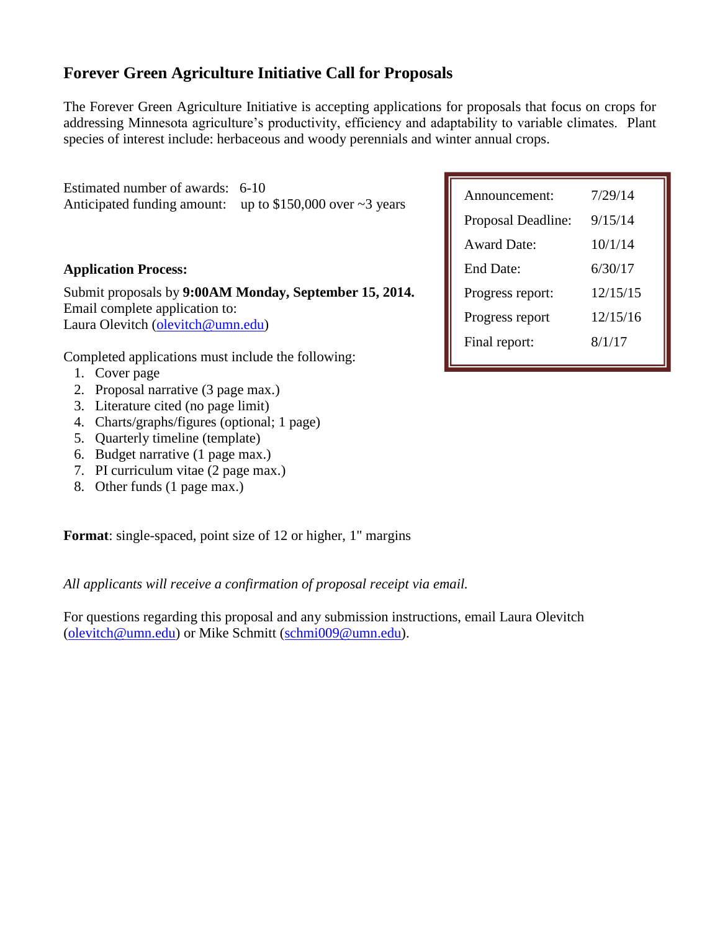# **Forever Green Agriculture Initiative Call for Proposals**

The Forever Green Agriculture Initiative is accepting applications for proposals that focus on crops for addressing Minnesota agriculture's productivity, efficiency and adaptability to variable climates. Plant species of interest include: herbaceous and woody perennials and winter annual crops.

Estimated number of awards: 6-10 Anticipated funding amount: up to  $$150,000$  over  $~3$  years

#### **Application Process:**

Submit proposals by **9:00AM Monday, September 15, 2014.** Email complete application to: Laura Olevitch [\(olevitch@umn.edu\)](mailto:olevitch@umn.edu)

Completed applications must include the following:

- 1. Cover page
- 2. Proposal narrative (3 page max.)
- 3. Literature cited (no page limit)
- 4. Charts/graphs/figures (optional; 1 page)
- 5. Quarterly timeline (template)
- 6. Budget narrative (1 page max.)
- 7. PI curriculum vitae (2 page max.)
- 8. Other funds (1 page max.)

**Format**: single-spaced, point size of 12 or higher, 1" margins

*All applicants will receive a confirmation of proposal receipt via email.*

For questions regarding this proposal and any submission instructions, email Laura Olevitch [\(olevitch@umn.edu\)](mailto:olevitch@umn.edu) or Mike Schmitt [\(schmi009@umn.edu\)](mailto:schmi009@umn.edu).

| Announcement:      | 7/29/14  |
|--------------------|----------|
| Proposal Deadline: | 9/15/14  |
| <b>Award Date:</b> | 10/1/14  |
| End Date:          | 6/30/17  |
| Progress report:   | 12/15/15 |
| Progress report    | 12/15/16 |
| Final report:      | 8/1/17   |
|                    |          |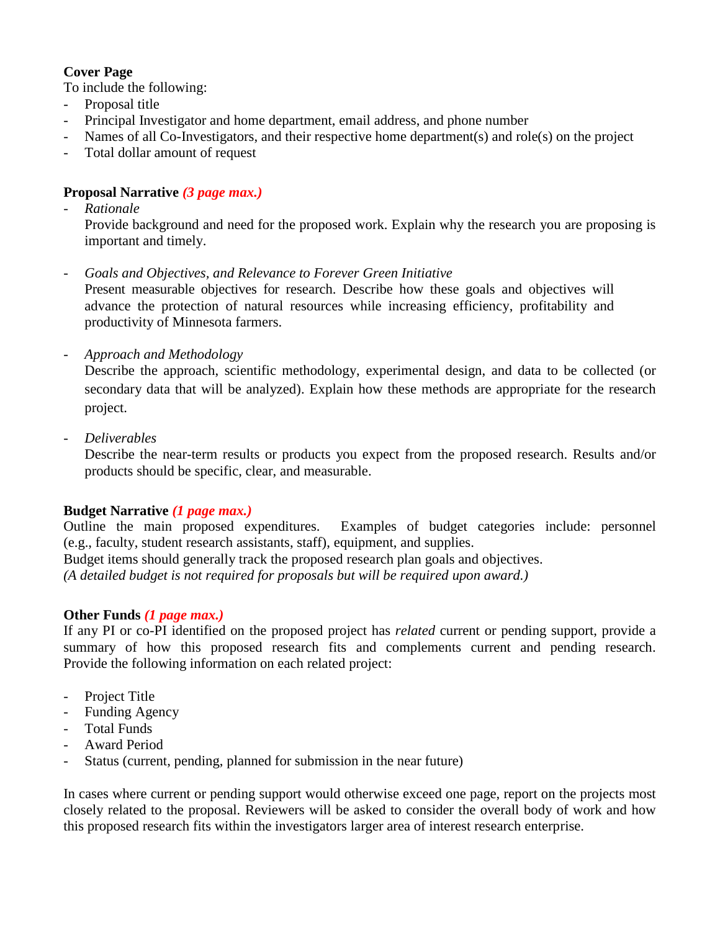## **Cover Page**

To include the following:

- Proposal title
- Principal Investigator and home department, email address, and phone number
- Names of all Co-Investigators, and their respective home department(s) and role(s) on the project
- Total dollar amount of request

## **Proposal Narrative** *(3 page max.)*

- *Rationale*

Provide background and need for the proposed work. Explain why the research you are proposing is important and timely.

- *Goals and Objectives, and Relevance to Forever Green Initiative*

Present measurable objectives for research. Describe how these goals and objectives will advance the protection of natural resources while increasing efficiency, profitability and productivity of Minnesota farmers.

- *Approach and Methodology*

Describe the approach, scientific methodology, experimental design, and data to be collected (or secondary data that will be analyzed). Explain how these methods are appropriate for the research project.

- *Deliverables* 

Describe the near-term results or products you expect from the proposed research. Results and/or products should be specific, clear, and measurable.

### **Budget Narrative** *(1 page max.)*

Outline the main proposed expenditures. Examples of budget categories include: personnel (e.g., faculty, student research assistants, staff), equipment, and supplies.

Budget items should generally track the proposed research plan goals and objectives. *(A detailed budget is not required for proposals but will be required upon award.)*

### **Other Funds** *(1 page max.)*

If any PI or co-PI identified on the proposed project has *related* current or pending support, provide a summary of how this proposed research fits and complements current and pending research. Provide the following information on each related project:

- Project Title
- Funding Agency
- Total Funds
- Award Period
- Status (current, pending, planned for submission in the near future)

In cases where current or pending support would otherwise exceed one page, report on the projects most closely related to the proposal. Reviewers will be asked to consider the overall body of work and how this proposed research fits within the investigators larger area of interest research enterprise.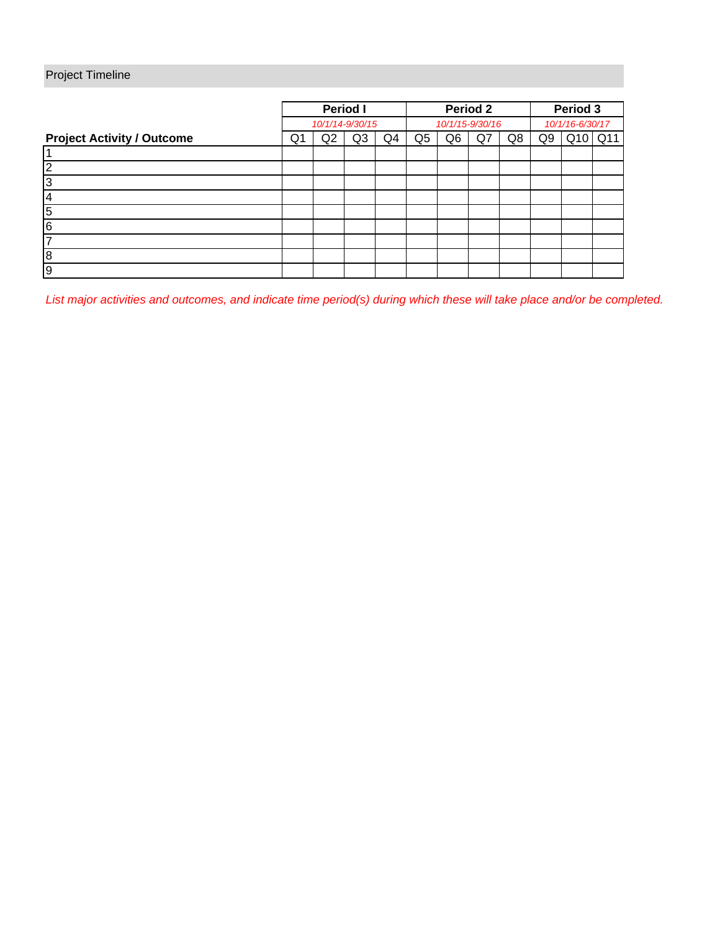# Project Timeline

|                                   | <b>Period I</b> |    |    | Period 2        |    |    |    | Period 3        |    |     |                 |
|-----------------------------------|-----------------|----|----|-----------------|----|----|----|-----------------|----|-----|-----------------|
|                                   | 10/1/14-9/30/15 |    |    | 10/1/15-9/30/16 |    |    |    | 10/1/16-6/30/17 |    |     |                 |
| <b>Project Activity / Outcome</b> | Q1              | Q2 | Q3 | Q4              | Q5 | Q6 | Q7 | Q8              | Q9 | Q10 | Q <sub>11</sub> |
|                                   |                 |    |    |                 |    |    |    |                 |    |     |                 |
| ◠                                 |                 |    |    |                 |    |    |    |                 |    |     |                 |
| 3                                 |                 |    |    |                 |    |    |    |                 |    |     |                 |
| 4                                 |                 |    |    |                 |    |    |    |                 |    |     |                 |
| 5                                 |                 |    |    |                 |    |    |    |                 |    |     |                 |
| l6                                |                 |    |    |                 |    |    |    |                 |    |     |                 |
|                                   |                 |    |    |                 |    |    |    |                 |    |     |                 |
| 8                                 |                 |    |    |                 |    |    |    |                 |    |     |                 |
| 9                                 |                 |    |    |                 |    |    |    |                 |    |     |                 |

*List major activities and outcomes, and indicate time period(s) during which these will take place and/or be completed.*